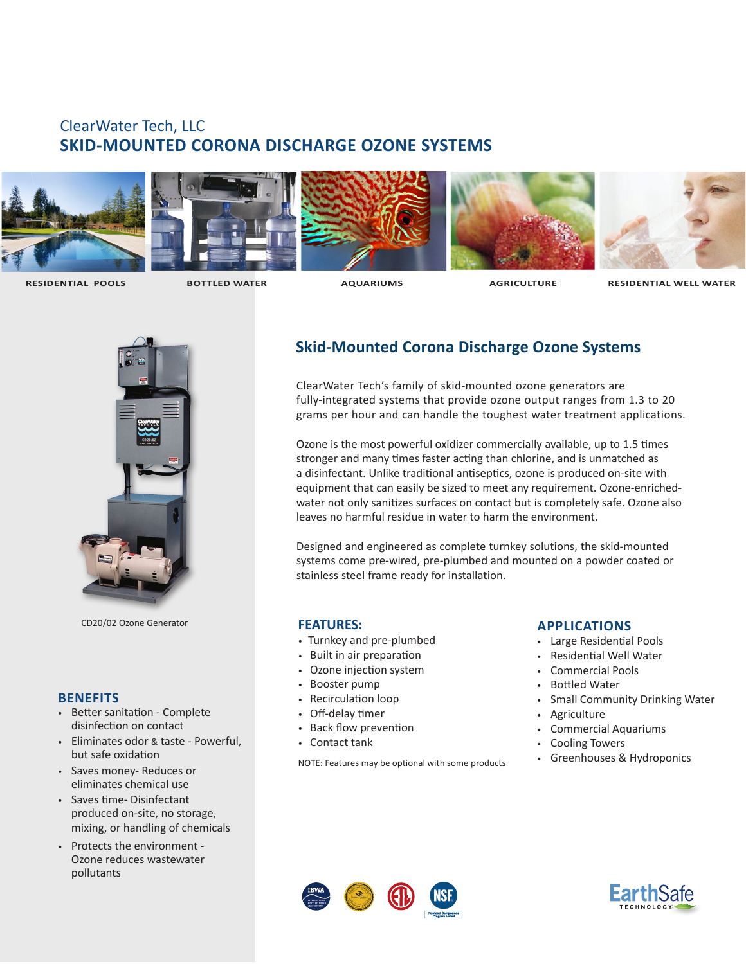# ClearWater Tech, LLC **SKID-MOUNTED CORONA DISCHARGE OZONE SYSTEMS**











 **RESIDENTIAL POOLS BOTTLED WATER AQUARIUMS AGRICULTURE RESIDENTIAL WELL WATER**



CD20/02 Ozone Generator **FEATURES:**

### **BENEFITS**

- Better sanitation Complete disinfection on contact
- Eliminates odor & taste Powerful, but safe oxidation
- Saves money- Reduces or eliminates chemical use
- Saves time- Disinfectant produced on-site, no storage, mixing, or handling of chemicals
- Protects the environment Ozone reduces wastewater pollutants

## **Skid-Mounted Corona Discharge Ozone Systems**

ClearWater Tech's family of skid-mounted ozone generators are fully-integrated systems that provide ozone output ranges from 1.3 to 20 grams per hour and can handle the toughest water treatment applications.

Ozone is the most powerful oxidizer commercially available, up to 1.5 times stronger and many times faster acting than chlorine, and is unmatched as a disinfectant. Unlike traditional antiseptics, ozone is produced on-site with equipment that can easily be sized to meet any requirement. Ozone-enrichedwater not only sanitizes surfaces on contact but is completely safe. Ozone also leaves no harmful residue in water to harm the environment.

Designed and engineered as complete turnkey solutions, the skid-mounted systems come pre-wired, pre-plumbed and mounted on a powder coated or stainless steel frame ready for installation.

- Turnkey and pre-plumbed
- Built in air preparation
- Ozone injection system
- Booster pump
- Recirculation loop
- Off-delay timer
- Back flow prevention
- Contact tank

NOTE: Features may be optional with some products

### **APPLICATIONS**

- Large Residential Pools
- Residential Well Water
- Commercial Pools
- Bottled Water
- Small Community Drinking Water
- Agriculture
- Commercial Aquariums
- Cooling Towers
- Greenhouses & Hydroponics